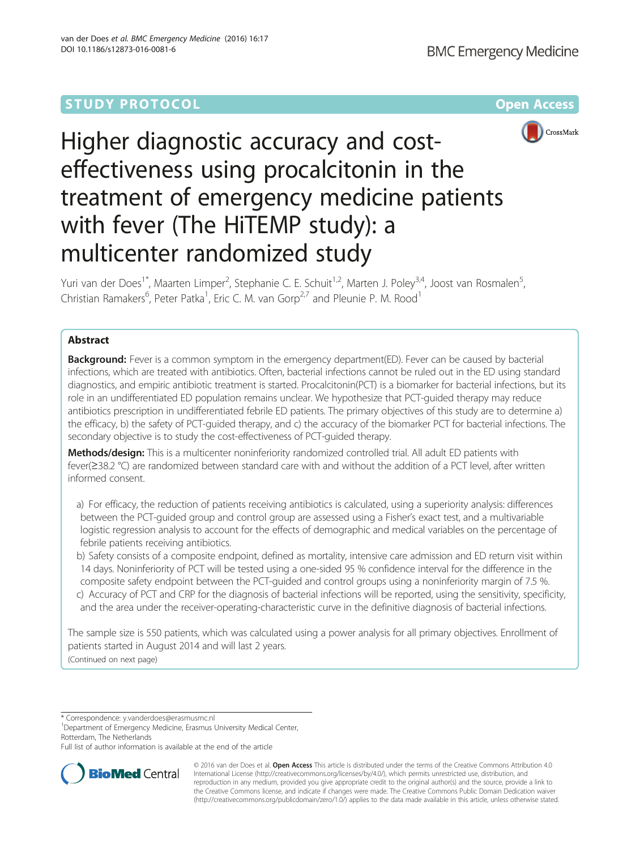# **STUDY PROTOCOL CONSUMING THE RESERVE ACCESS**



# Higher diagnostic accuracy and costeffectiveness using procalcitonin in the treatment of emergency medicine patients with fever (The HiTEMP study): a multicenter randomized study

Yuri van der Does<sup>1\*</sup>, Maarten Limper<sup>2</sup>, Stephanie C. E. Schuit<sup>1,2</sup>, Marten J. Poley<sup>3,4</sup>, Joost van Rosmalen<sup>5</sup> , Christian Ramakers<sup>6</sup>, Peter Patka<sup>1</sup>, Eric C. M. van Gorp<sup>2,7</sup> and Pleunie P. M. Rood<sup>1</sup>

# Abstract

**Background:** Fever is a common symptom in the emergency department(ED). Fever can be caused by bacterial infections, which are treated with antibiotics. Often, bacterial infections cannot be ruled out in the ED using standard diagnostics, and empiric antibiotic treatment is started. Procalcitonin(PCT) is a biomarker for bacterial infections, but its role in an undifferentiated ED population remains unclear. We hypothesize that PCT-guided therapy may reduce antibiotics prescription in undifferentiated febrile ED patients. The primary objectives of this study are to determine a) the efficacy, b) the safety of PCT-guided therapy, and c) the accuracy of the biomarker PCT for bacterial infections. The secondary objective is to study the cost-effectiveness of PCT-guided therapy.

Methods/design: This is a multicenter noninferiority randomized controlled trial. All adult ED patients with fever(≥38.2 °C) are randomized between standard care with and without the addition of a PCT level, after written informed consent.

- a) For efficacy, the reduction of patients receiving antibiotics is calculated, using a superiority analysis: differences between the PCT-guided group and control group are assessed using a Fisher's exact test, and a multivariable logistic regression analysis to account for the effects of demographic and medical variables on the percentage of febrile patients receiving antibiotics.
- b) Safety consists of a composite endpoint, defined as mortality, intensive care admission and ED return visit within 14 days. Noninferiority of PCT will be tested using a one-sided 95 % confidence interval for the difference in the composite safety endpoint between the PCT-guided and control groups using a noninferiority margin of 7.5 %.
- c) Accuracy of PCT and CRP for the diagnosis of bacterial infections will be reported, using the sensitivity, specificity, and the area under the receiver-operating-characteristic curve in the definitive diagnosis of bacterial infections.

The sample size is 550 patients, which was calculated using a power analysis for all primary objectives. Enrollment of patients started in August 2014 and will last 2 years. (Continued on next page)

\* Correspondence: [y.vanderdoes@erasmusmc.nl](mailto:y.vanderdoes@erasmusmc.nl) <sup>1</sup>

<sup>1</sup>Department of Emergency Medicine, Erasmus University Medical Center, Rotterdam, The Netherlands

Full list of author information is available at the end of the article



© 2016 van der Does et al. Open Access This article is distributed under the terms of the Creative Commons Attribution 4.0 International License [\(http://creativecommons.org/licenses/by/4.0/](http://creativecommons.org/licenses/by/4.0/)), which permits unrestricted use, distribution, and reproduction in any medium, provided you give appropriate credit to the original author(s) and the source, provide a link to the Creative Commons license, and indicate if changes were made. The Creative Commons Public Domain Dedication waiver [\(http://creativecommons.org/publicdomain/zero/1.0/](http://creativecommons.org/publicdomain/zero/1.0/)) applies to the data made available in this article, unless otherwise stated.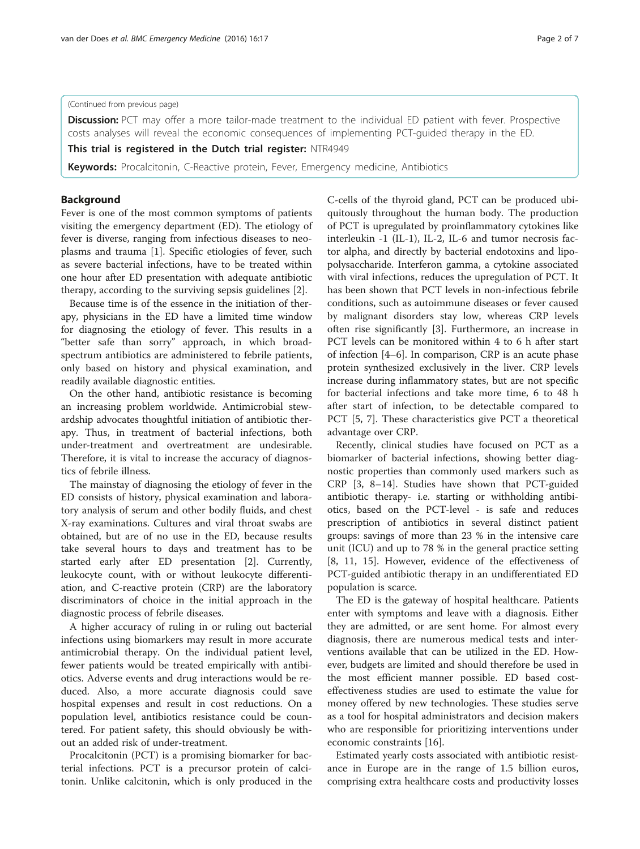#### (Continued from previous page)

**Discussion:** PCT may offer a more tailor-made treatment to the individual ED patient with fever. Prospective costs analyses will reveal the economic consequences of implementing PCT-guided therapy in the ED.

This trial is registered in the Dutch trial register: [NTR4949](http://www.trialregister.nl/trialreg/admin/rctview.asp?TC=4949)

Keywords: Procalcitonin, C-Reactive protein, Fever, Emergency medicine, Antibiotics

#### Background

Fever is one of the most common symptoms of patients visiting the emergency department (ED). The etiology of fever is diverse, ranging from infectious diseases to neoplasms and trauma [\[1](#page-6-0)]. Specific etiologies of fever, such as severe bacterial infections, have to be treated within one hour after ED presentation with adequate antibiotic therapy, according to the surviving sepsis guidelines [[2\]](#page-6-0).

Because time is of the essence in the initiation of therapy, physicians in the ED have a limited time window for diagnosing the etiology of fever. This results in a "better safe than sorry" approach, in which broadspectrum antibiotics are administered to febrile patients, only based on history and physical examination, and readily available diagnostic entities.

On the other hand, antibiotic resistance is becoming an increasing problem worldwide. Antimicrobial stewardship advocates thoughtful initiation of antibiotic therapy. Thus, in treatment of bacterial infections, both under-treatment and overtreatment are undesirable. Therefore, it is vital to increase the accuracy of diagnostics of febrile illness.

The mainstay of diagnosing the etiology of fever in the ED consists of history, physical examination and laboratory analysis of serum and other bodily fluids, and chest X-ray examinations. Cultures and viral throat swabs are obtained, but are of no use in the ED, because results take several hours to days and treatment has to be started early after ED presentation [[2\]](#page-6-0). Currently, leukocyte count, with or without leukocyte differentiation, and C-reactive protein (CRP) are the laboratory discriminators of choice in the initial approach in the diagnostic process of febrile diseases.

A higher accuracy of ruling in or ruling out bacterial infections using biomarkers may result in more accurate antimicrobial therapy. On the individual patient level, fewer patients would be treated empirically with antibiotics. Adverse events and drug interactions would be reduced. Also, a more accurate diagnosis could save hospital expenses and result in cost reductions. On a population level, antibiotics resistance could be countered. For patient safety, this should obviously be without an added risk of under-treatment.

Procalcitonin (PCT) is a promising biomarker for bacterial infections. PCT is a precursor protein of calcitonin. Unlike calcitonin, which is only produced in the C-cells of the thyroid gland, PCT can be produced ubiquitously throughout the human body. The production of PCT is upregulated by proinflammatory cytokines like interleukin -1 (IL-1), IL-2, IL-6 and tumor necrosis factor alpha, and directly by bacterial endotoxins and lipopolysaccharide. Interferon gamma, a cytokine associated with viral infections, reduces the upregulation of PCT. It has been shown that PCT levels in non-infectious febrile conditions, such as autoimmune diseases or fever caused by malignant disorders stay low, whereas CRP levels often rise significantly [\[3](#page-6-0)]. Furthermore, an increase in PCT levels can be monitored within 4 to 6 h after start of infection [\[4](#page-6-0)–[6\]](#page-6-0). In comparison, CRP is an acute phase protein synthesized exclusively in the liver. CRP levels increase during inflammatory states, but are not specific for bacterial infections and take more time, 6 to 48 h after start of infection, to be detectable compared to PCT [[5, 7](#page-6-0)]. These characteristics give PCT a theoretical advantage over CRP.

Recently, clinical studies have focused on PCT as a biomarker of bacterial infections, showing better diagnostic properties than commonly used markers such as CRP [[3, 8](#page-6-0)–[14](#page-6-0)]. Studies have shown that PCT-guided antibiotic therapy- i.e. starting or withholding antibiotics, based on the PCT-level - is safe and reduces prescription of antibiotics in several distinct patient groups: savings of more than 23 % in the intensive care unit (ICU) and up to 78 % in the general practice setting [[8, 11](#page-6-0), [15\]](#page-6-0). However, evidence of the effectiveness of PCT-guided antibiotic therapy in an undifferentiated ED population is scarce.

The ED is the gateway of hospital healthcare. Patients enter with symptoms and leave with a diagnosis. Either they are admitted, or are sent home. For almost every diagnosis, there are numerous medical tests and interventions available that can be utilized in the ED. However, budgets are limited and should therefore be used in the most efficient manner possible. ED based costeffectiveness studies are used to estimate the value for money offered by new technologies. These studies serve as a tool for hospital administrators and decision makers who are responsible for prioritizing interventions under economic constraints [\[16](#page-6-0)].

Estimated yearly costs associated with antibiotic resistance in Europe are in the range of 1.5 billion euros, comprising extra healthcare costs and productivity losses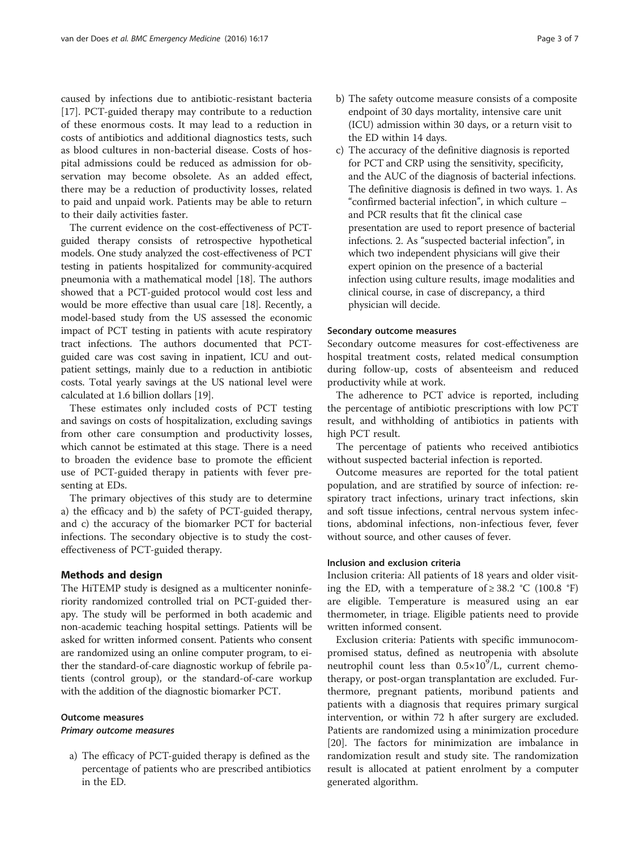caused by infections due to antibiotic-resistant bacteria [[17\]](#page-6-0). PCT-guided therapy may contribute to a reduction of these enormous costs. It may lead to a reduction in costs of antibiotics and additional diagnostics tests, such as blood cultures in non-bacterial disease. Costs of hospital admissions could be reduced as admission for observation may become obsolete. As an added effect, there may be a reduction of productivity losses, related to paid and unpaid work. Patients may be able to return to their daily activities faster.

The current evidence on the cost-effectiveness of PCTguided therapy consists of retrospective hypothetical models. One study analyzed the cost-effectiveness of PCT testing in patients hospitalized for community-acquired pneumonia with a mathematical model [[18](#page-6-0)]. The authors showed that a PCT-guided protocol would cost less and would be more effective than usual care [\[18\]](#page-6-0). Recently, a model-based study from the US assessed the economic impact of PCT testing in patients with acute respiratory tract infections. The authors documented that PCTguided care was cost saving in inpatient, ICU and outpatient settings, mainly due to a reduction in antibiotic costs. Total yearly savings at the US national level were calculated at 1.6 billion dollars [[19\]](#page-6-0).

These estimates only included costs of PCT testing and savings on costs of hospitalization, excluding savings from other care consumption and productivity losses, which cannot be estimated at this stage. There is a need to broaden the evidence base to promote the efficient use of PCT-guided therapy in patients with fever presenting at EDs.

The primary objectives of this study are to determine a) the efficacy and b) the safety of PCT-guided therapy, and c) the accuracy of the biomarker PCT for bacterial infections. The secondary objective is to study the costeffectiveness of PCT-guided therapy.

## Methods and design

The HiTEMP study is designed as a multicenter noninferiority randomized controlled trial on PCT-guided therapy. The study will be performed in both academic and non-academic teaching hospital settings. Patients will be asked for written informed consent. Patients who consent are randomized using an online computer program, to either the standard-of-care diagnostic workup of febrile patients (control group), or the standard-of-care workup with the addition of the diagnostic biomarker PCT.

# Outcome measures

# Primary outcome measures

a) The efficacy of PCT-guided therapy is defined as the percentage of patients who are prescribed antibiotics in the ED.

- b) The safety outcome measure consists of a composite endpoint of 30 days mortality, intensive care unit (ICU) admission within 30 days, or a return visit to the ED within 14 days.
- c) The accuracy of the definitive diagnosis is reported for PCT and CRP using the sensitivity, specificity, and the AUC of the diagnosis of bacterial infections. The definitive diagnosis is defined in two ways. 1. As "confirmed bacterial infection", in which culture – and PCR results that fit the clinical case presentation are used to report presence of bacterial infections. 2. As "suspected bacterial infection", in which two independent physicians will give their expert opinion on the presence of a bacterial infection using culture results, image modalities and clinical course, in case of discrepancy, a third physician will decide.

#### Secondary outcome measures

Secondary outcome measures for cost-effectiveness are hospital treatment costs, related medical consumption during follow-up, costs of absenteeism and reduced productivity while at work.

The adherence to PCT advice is reported, including the percentage of antibiotic prescriptions with low PCT result, and withholding of antibiotics in patients with high PCT result.

The percentage of patients who received antibiotics without suspected bacterial infection is reported.

Outcome measures are reported for the total patient population, and are stratified by source of infection: respiratory tract infections, urinary tract infections, skin and soft tissue infections, central nervous system infections, abdominal infections, non-infectious fever, fever without source, and other causes of fever.

#### Inclusion and exclusion criteria

Inclusion criteria: All patients of 18 years and older visiting the ED, with a temperature of ≥ 38.2 °C (100.8 °F) are eligible. Temperature is measured using an ear thermometer, in triage. Eligible patients need to provide written informed consent.

Exclusion criteria: Patients with specific immunocompromised status, defined as neutropenia with absolute neutrophil count less than  $0.5 \times 10^9$ /L, current chemotherapy, or post-organ transplantation are excluded. Furthermore, pregnant patients, moribund patients and patients with a diagnosis that requires primary surgical intervention, or within 72 h after surgery are excluded. Patients are randomized using a minimization procedure [[20\]](#page-6-0). The factors for minimization are imbalance in randomization result and study site. The randomization result is allocated at patient enrolment by a computer generated algorithm.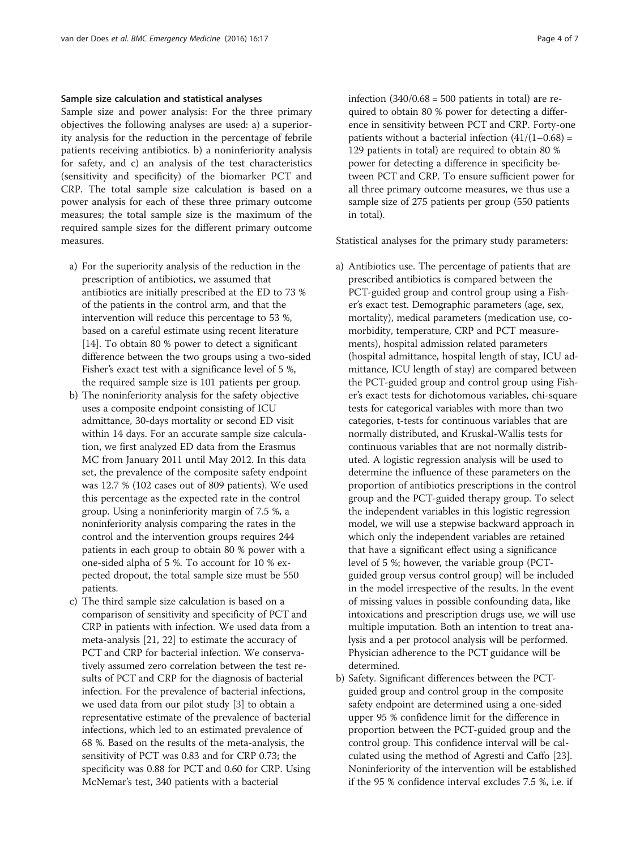#### Sample size calculation and statistical analyses

Sample size and power analysis: For the three primary objectives the following analyses are used: a) a superiority analysis for the reduction in the percentage of febrile patients receiving antibiotics. b) a noninferiority analysis for safety, and c) an analysis of the test characteristics (sensitivity and specificity) of the biomarker PCT and CRP. The total sample size calculation is based on a power analysis for each of these three primary outcome measures; the total sample size is the maximum of the required sample sizes for the different primary outcome measures.

- a) For the superiority analysis of the reduction in the prescription of antibiotics, we assumed that antibiotics are initially prescribed at the ED to 73 % of the patients in the control arm, and that the intervention will reduce this percentage to 53 %, based on a careful estimate using recent literature [\[14](#page-6-0)]. To obtain 80 % power to detect a significant difference between the two groups using a two-sided Fisher's exact test with a significance level of 5 %, the required sample size is 101 patients per group.
- b) The noninferiority analysis for the safety objective uses a composite endpoint consisting of ICU admittance, 30-days mortality or second ED visit within 14 days. For an accurate sample size calculation, we first analyzed ED data from the Erasmus MC from January 2011 until May 2012. In this data set, the prevalence of the composite safety endpoint was 12.7 % (102 cases out of 809 patients). We used this percentage as the expected rate in the control group. Using a noninferiority margin of 7.5 %, a noninferiority analysis comparing the rates in the control and the intervention groups requires 244 patients in each group to obtain 80 % power with a one-sided alpha of 5 %. To account for 10 % expected dropout, the total sample size must be 550 patients.
- c) The third sample size calculation is based on a comparison of sensitivity and specificity of PCT and CRP in patients with infection. We used data from a meta-analysis [\[21](#page-6-0), [22\]](#page-6-0) to estimate the accuracy of PCT and CRP for bacterial infection. We conservatively assumed zero correlation between the test results of PCT and CRP for the diagnosis of bacterial infection. For the prevalence of bacterial infections, we used data from our pilot study [[3\]](#page-6-0) to obtain a representative estimate of the prevalence of bacterial infections, which led to an estimated prevalence of 68 %. Based on the results of the meta-analysis, the sensitivity of PCT was 0.83 and for CRP 0.73; the specificity was 0.88 for PCT and 0.60 for CRP. Using McNemar's test, 340 patients with a bacterial

infection  $(340/0.68 = 500$  patients in total) are required to obtain 80 % power for detecting a difference in sensitivity between PCT and CRP. Forty-one patients without a bacterial infection  $(41/(1-0.68))$  = 129 patients in total) are required to obtain 80 % power for detecting a difference in specificity between PCT and CRP. To ensure sufficient power for all three primary outcome measures, we thus use a sample size of 275 patients per group (550 patients in total).

Statistical analyses for the primary study parameters:

- a) Antibiotics use. The percentage of patients that are prescribed antibiotics is compared between the PCT-guided group and control group using a Fisher's exact test. Demographic parameters (age, sex, mortality), medical parameters (medication use, comorbidity, temperature, CRP and PCT measurements), hospital admission related parameters (hospital admittance, hospital length of stay, ICU admittance, ICU length of stay) are compared between the PCT-guided group and control group using Fisher's exact tests for dichotomous variables, chi-square tests for categorical variables with more than two categories, t-tests for continuous variables that are normally distributed, and Kruskal-Wallis tests for continuous variables that are not normally distributed. A logistic regression analysis will be used to determine the influence of these parameters on the proportion of antibiotics prescriptions in the control group and the PCT-guided therapy group. To select the independent variables in this logistic regression model, we will use a stepwise backward approach in which only the independent variables are retained that have a significant effect using a significance level of 5 %; however, the variable group (PCTguided group versus control group) will be included in the model irrespective of the results. In the event of missing values in possible confounding data, like intoxications and prescription drugs use, we will use multiple imputation. Both an intention to treat analysis and a per protocol analysis will be performed. Physician adherence to the PCT guidance will be determined.
- b) Safety. Significant differences between the PCTguided group and control group in the composite safety endpoint are determined using a one-sided upper 95 % confidence limit for the difference in proportion between the PCT-guided group and the control group. This confidence interval will be calculated using the method of Agresti and Caffo [[23](#page-6-0)]. Noninferiority of the intervention will be established if the 95 % confidence interval excludes 7.5 %, i.e. if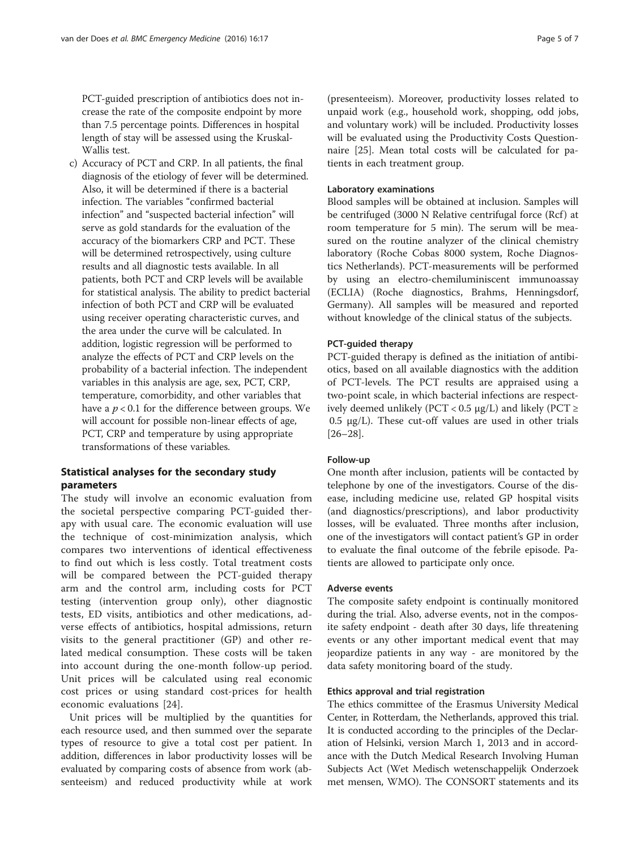PCT-guided prescription of antibiotics does not increase the rate of the composite endpoint by more than 7.5 percentage points. Differences in hospital length of stay will be assessed using the Kruskal-Wallis test.

c) Accuracy of PCT and CRP. In all patients, the final diagnosis of the etiology of fever will be determined. Also, it will be determined if there is a bacterial infection. The variables "confirmed bacterial infection" and "suspected bacterial infection" will serve as gold standards for the evaluation of the accuracy of the biomarkers CRP and PCT. These will be determined retrospectively, using culture results and all diagnostic tests available. In all patients, both PCT and CRP levels will be available for statistical analysis. The ability to predict bacterial infection of both PCT and CRP will be evaluated using receiver operating characteristic curves, and the area under the curve will be calculated. In addition, logistic regression will be performed to analyze the effects of PCT and CRP levels on the probability of a bacterial infection. The independent variables in this analysis are age, sex, PCT, CRP, temperature, comorbidity, and other variables that have a  $p < 0.1$  for the difference between groups. We will account for possible non-linear effects of age, PCT, CRP and temperature by using appropriate transformations of these variables.

# Statistical analyses for the secondary study parameters

The study will involve an economic evaluation from the societal perspective comparing PCT-guided therapy with usual care. The economic evaluation will use the technique of cost-minimization analysis, which compares two interventions of identical effectiveness to find out which is less costly. Total treatment costs will be compared between the PCT-guided therapy arm and the control arm, including costs for PCT testing (intervention group only), other diagnostic tests, ED visits, antibiotics and other medications, adverse effects of antibiotics, hospital admissions, return visits to the general practitioner (GP) and other related medical consumption. These costs will be taken into account during the one-month follow-up period. Unit prices will be calculated using real economic cost prices or using standard cost-prices for health economic evaluations [[24\]](#page-6-0).

Unit prices will be multiplied by the quantities for each resource used, and then summed over the separate types of resource to give a total cost per patient. In addition, differences in labor productivity losses will be evaluated by comparing costs of absence from work (absenteeism) and reduced productivity while at work

(presenteeism). Moreover, productivity losses related to unpaid work (e.g., household work, shopping, odd jobs, and voluntary work) will be included. Productivity losses will be evaluated using the Productivity Costs Questionnaire [\[25\]](#page-6-0). Mean total costs will be calculated for patients in each treatment group.

#### Laboratory examinations

Blood samples will be obtained at inclusion. Samples will be centrifuged (3000 N Relative centrifugal force (Rcf) at room temperature for 5 min). The serum will be measured on the routine analyzer of the clinical chemistry laboratory (Roche Cobas 8000 system, Roche Diagnostics Netherlands). PCT-measurements will be performed by using an electro-chemiluminiscent immunoassay (ECLIA) (Roche diagnostics, Brahms, Henningsdorf, Germany). All samples will be measured and reported without knowledge of the clinical status of the subjects.

# PCT-guided therapy

PCT-guided therapy is defined as the initiation of antibiotics, based on all available diagnostics with the addition of PCT-levels. The PCT results are appraised using a two-point scale, in which bacterial infections are respectively deemed unlikely ( $PCT < 0.5 \mu g/L$ ) and likely ( $PCT \ge$  $0.5 \mu$ g/L). These cut-off values are used in other trials [[26](#page-6-0)–[28](#page-6-0)].

#### Follow-up

One month after inclusion, patients will be contacted by telephone by one of the investigators. Course of the disease, including medicine use, related GP hospital visits (and diagnostics/prescriptions), and labor productivity losses, will be evaluated. Three months after inclusion, one of the investigators will contact patient's GP in order to evaluate the final outcome of the febrile episode. Patients are allowed to participate only once.

#### Adverse events

The composite safety endpoint is continually monitored during the trial. Also, adverse events, not in the composite safety endpoint - death after 30 days, life threatening events or any other important medical event that may jeopardize patients in any way - are monitored by the data safety monitoring board of the study.

#### Ethics approval and trial registration

The ethics committee of the Erasmus University Medical Center, in Rotterdam, the Netherlands, approved this trial. It is conducted according to the principles of the Declaration of Helsinki, version March 1, 2013 and in accordance with the Dutch Medical Research Involving Human Subjects Act (Wet Medisch wetenschappelijk Onderzoek met mensen, WMO). The CONSORT statements and its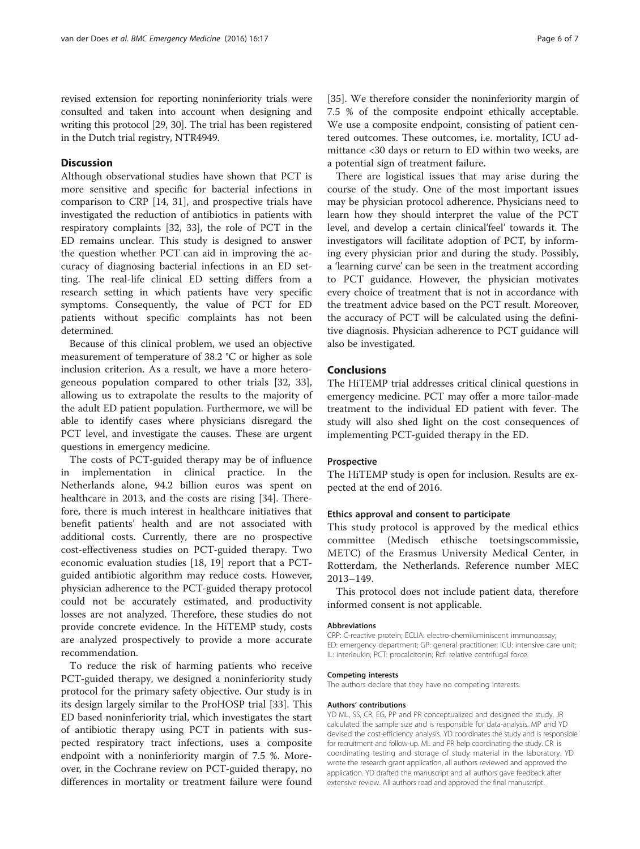revised extension for reporting noninferiority trials were consulted and taken into account when designing and writing this protocol [\[29](#page-6-0), [30](#page-6-0)]. The trial has been registered in the Dutch trial registry, NTR4949.

# **Discussion**

Although observational studies have shown that PCT is more sensitive and specific for bacterial infections in comparison to CRP [\[14, 31](#page-6-0)], and prospective trials have investigated the reduction of antibiotics in patients with respiratory complaints [\[32](#page-6-0), [33](#page-6-0)], the role of PCT in the ED remains unclear. This study is designed to answer the question whether PCT can aid in improving the accuracy of diagnosing bacterial infections in an ED setting. The real-life clinical ED setting differs from a research setting in which patients have very specific symptoms. Consequently, the value of PCT for ED patients without specific complaints has not been determined.

Because of this clinical problem, we used an objective measurement of temperature of 38.2 °C or higher as sole inclusion criterion. As a result, we have a more heterogeneous population compared to other trials [\[32](#page-6-0), [33](#page-6-0)], allowing us to extrapolate the results to the majority of the adult ED patient population. Furthermore, we will be able to identify cases where physicians disregard the PCT level, and investigate the causes. These are urgent questions in emergency medicine.

The costs of PCT-guided therapy may be of influence in implementation in clinical practice. In the Netherlands alone, 94.2 billion euros was spent on healthcare in 2013, and the costs are rising [[34\]](#page-6-0). Therefore, there is much interest in healthcare initiatives that benefit patients' health and are not associated with additional costs. Currently, there are no prospective cost-effectiveness studies on PCT-guided therapy. Two economic evaluation studies [\[18](#page-6-0), [19\]](#page-6-0) report that a PCTguided antibiotic algorithm may reduce costs. However, physician adherence to the PCT-guided therapy protocol could not be accurately estimated, and productivity losses are not analyzed. Therefore, these studies do not provide concrete evidence. In the HiTEMP study, costs are analyzed prospectively to provide a more accurate recommendation.

To reduce the risk of harming patients who receive PCT-guided therapy, we designed a noninferiority study protocol for the primary safety objective. Our study is in its design largely similar to the ProHOSP trial [[33\]](#page-6-0). This ED based noninferiority trial, which investigates the start of antibiotic therapy using PCT in patients with suspected respiratory tract infections, uses a composite endpoint with a noninferiority margin of 7.5 %. Moreover, in the Cochrane review on PCT-guided therapy, no differences in mortality or treatment failure were found

[[35\]](#page-6-0). We therefore consider the noninferiority margin of 7.5 % of the composite endpoint ethically acceptable. We use a composite endpoint, consisting of patient centered outcomes. These outcomes, i.e. mortality, ICU admittance <30 days or return to ED within two weeks, are a potential sign of treatment failure.

There are logistical issues that may arise during the course of the study. One of the most important issues may be physician protocol adherence. Physicians need to learn how they should interpret the value of the PCT level, and develop a certain clinical'feel' towards it. The investigators will facilitate adoption of PCT, by informing every physician prior and during the study. Possibly, a 'learning curve' can be seen in the treatment according to PCT guidance. However, the physician motivates every choice of treatment that is not in accordance with the treatment advice based on the PCT result. Moreover, the accuracy of PCT will be calculated using the definitive diagnosis. Physician adherence to PCT guidance will also be investigated.

## **Conclusions**

The HiTEMP trial addresses critical clinical questions in emergency medicine. PCT may offer a more tailor-made treatment to the individual ED patient with fever. The study will also shed light on the cost consequences of implementing PCT-guided therapy in the ED.

#### Prospective

The HiTEMP study is open for inclusion. Results are expected at the end of 2016.

#### Ethics approval and consent to participate

This study protocol is approved by the medical ethics committee (Medisch ethische toetsingscommissie, METC) of the Erasmus University Medical Center, in Rotterdam, the Netherlands. Reference number MEC 2013–149.

This protocol does not include patient data, therefore informed consent is not applicable.

#### Abbreviations

CRP: C-reactive protein; ECLIA: electro-chemiluminiscent immunoassay; ED: emergency department; GP: general practitioner; ICU: intensive care unit; IL: interleukin; PCT: procalcitonin; Rcf: relative centrifugal force.

#### Competing interests

The authors declare that they have no competing interests.

#### Authors' contributions

YD ML, SS, CR, EG, PP and PR conceptualized and designed the study. JR calculated the sample size and is responsible for data-analysis. MP and YD devised the cost-efficiency analysis. YD coordinates the study and is responsible for recruitment and follow-up. ML and PR help coordinating the study. CR is coordinating testing and storage of study material in the laboratory. YD wrote the research grant application, all authors reviewed and approved the application. YD drafted the manuscript and all authors gave feedback after extensive review. All authors read and approved the final manuscript.